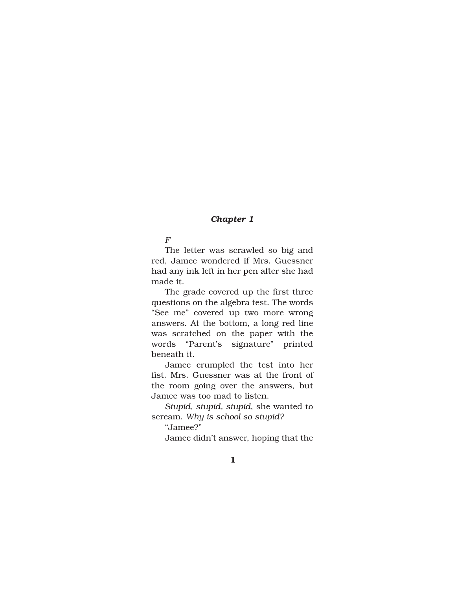## *Chapter 1*

## *F*

The letter was scrawled so big and red, Jamee wondered if Mrs. Guessner had any ink left in her pen after she had made it.

The grade covered up the first three questions on the algebra test. The words "See me" covered up two more wrong answers. At the bottom, a long red line was scratched on the paper with the words "Parent's signature" printed beneath it.

Jamee crumpled the test into her fist. Mrs. Guessner was at the front of the room going over the answers, but Jamee was too mad to listen.

*Stupid, stupid, stupid*, she wanted to scream. *Why is school so stupid?*

"Jamee?"

Jamee didn't answer, hoping that the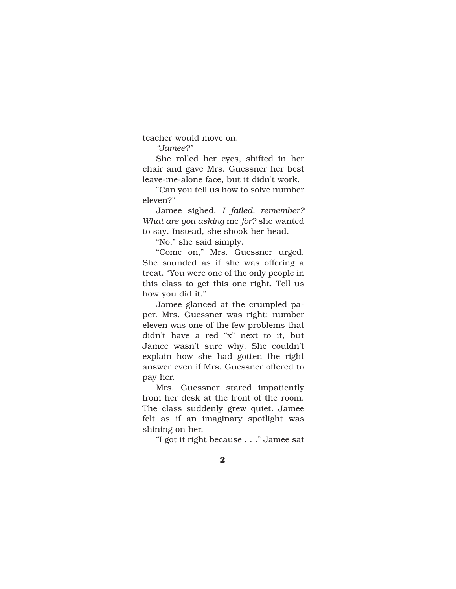teacher would move on.

*"Jamee?"*

She rolled her eyes, shifted in her chair and gave Mrs. Guessner her best leave-me-alone face, but it didn't work.

"Can you tell us how to solve number eleven?"

Jamee sighed. *I failed, remember? What are you asking* me *for?* she wanted to say. Instead, she shook her head.

"No," she said simply.

"Come on," Mrs. Guessner urged. She sounded as if she was offering a treat. "You were one of the only people in this class to get this one right. Tell us how you did it."

Jamee glanced at the crumpled paper. Mrs. Guessner was right: number eleven was one of the few problems that didn't have a red "x" next to it, but Jamee wasn't sure why. She couldn't explain how she had gotten the right answer even if Mrs. Guessner offered to pay her.

Mrs. Guessner stared impatiently from her desk at the front of the room. The class suddenly grew quiet. Jamee felt as if an imaginary spotlight was shining on her.

"I got it right because . . ." Jamee sat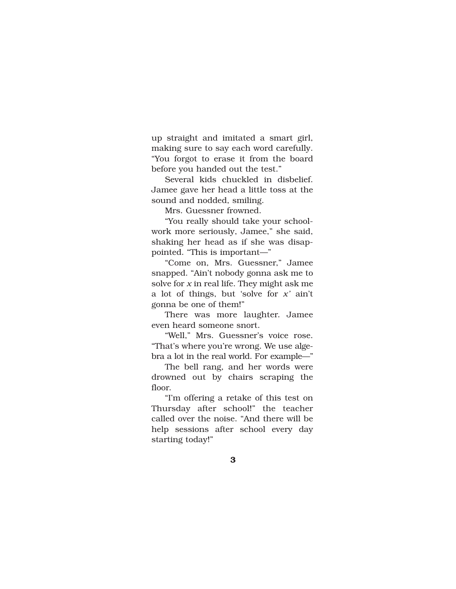up straight and imitated a smart girl, making sure to say each word carefully. "You forgot to erase it from the board before you handed out the test."

Several kids chuckled in disbelief. Jamee gave her head a little toss at the sound and nodded, smiling.

Mrs. Guessner frowned.

"You really should take your schoolwork more seriously, Jamee," she said, shaking her head as if she was disappointed. "This is important—"

"Come on, Mrs. Guessner," Jamee snapped. "Ain't nobody gonna ask me to solve for *x* in real life. They might ask me a lot of things, but 'solve for *x'* ain't gonna be one of them!"

There was more laughter. Jamee even heard someone snort.

"Well," Mrs. Guessner's voice rose. "That's where you're wrong. We use algebra a lot in the real world. For example—"

The bell rang, and her words were drowned out by chairs scraping the floor.

"I'm offering a retake of this test on Thursday after school!" the teacher called over the noise. "And there will be help sessions after school every day starting today!"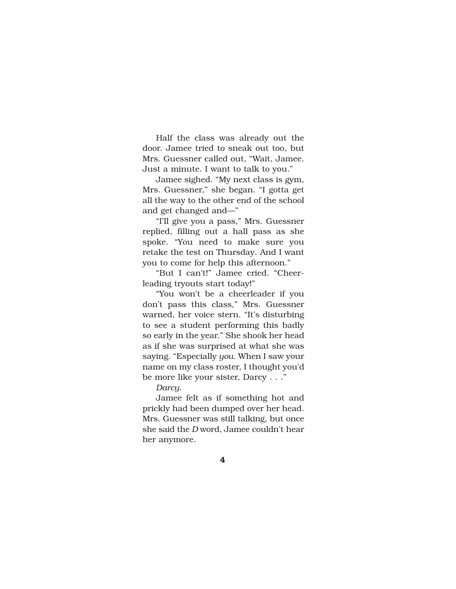Half the class was already out the door. Jamee tried to sneak out too, but Mrs. Guessner called out, "Wait, Jamee. Just a minute. I want to talk to you."

Jamee sighed. "My next class is gym, Mrs. Guessner," she began. "I gotta get all the way to the other end of the school and get changed and—"

"I'll give you a pass," Mrs. Guessner replied, filling out a hall pass as she spoke. "You need to make sure you retake the test on Thursday. And I want you to come for help this afternoon."

"But I can't!" Jamee cried. "Cheerleading tryouts start today!"

"You won't be a cheerleader if you don't pass this class," Mrs. Guessner warned, her voice stern. "It's disturbing to see a student performing this badly so early in the year." She shook her head as if she was surprised at what she was saying. "Especially *you*. When I saw your name on my class roster, I thought you'd be more like your sister, Darcy . . ."

*Darcy.* 

Jamee felt as if something hot and prickly had been dumped over her head. Mrs. Guessner was still talking, but once she said the *D* word, Jamee couldn't hear her anymore.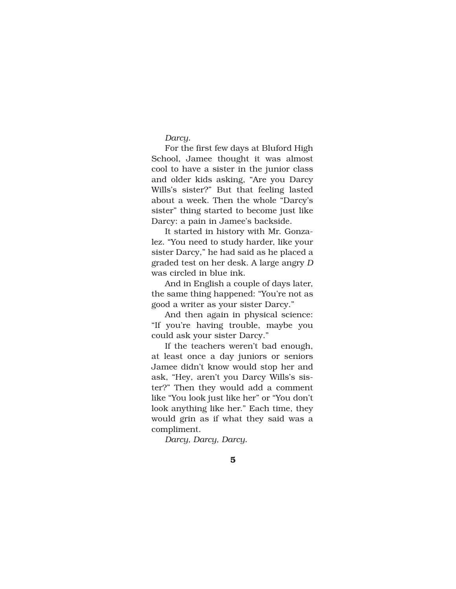## *Darcy.*

For the first few days at Bluford High School, Jamee thought it was almost cool to have a sister in the junior class and older kids asking, "Are you Darcy Wills's sister?" But that feeling lasted about a week. Then the whole "Darcy's sister" thing started to become just like Darcy: a pain in Jamee's backside.

It started in history with Mr. Gonzalez. "You need to study harder, like your sister Darcy," he had said as he placed a graded test on her desk. A large angry *D* was circled in blue ink.

And in English a couple of days later, the same thing happened: "You're not as good a writer as your sister Darcy."

And then again in physical science: "If you're having trouble, maybe you could ask your sister Darcy."

If the teachers weren't bad enough, at least once a day juniors or seniors Jamee didn't know would stop her and ask, "Hey, aren't you Darcy Wills's sister?" Then they would add a comment like "You look just like her" or "You don't look anything like her." Each time, they would grin as if what they said was a compliment.

*Darcy, Darcy, Darcy.*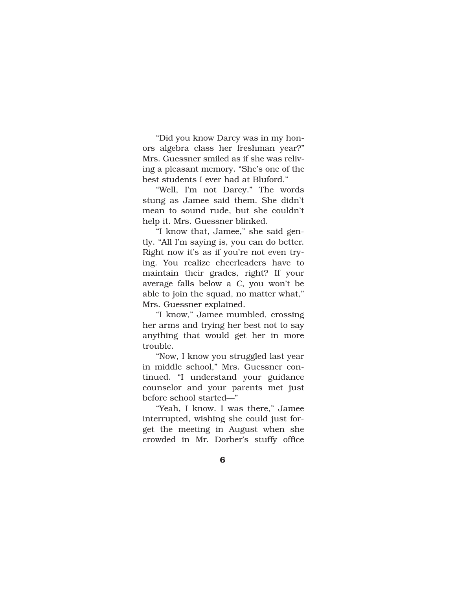"Did you know Darcy was in my honors algebra class her freshman year?" Mrs. Guessner smiled as if she was reliving a pleasant memory. "She's one of the best students I ever had at Bluford."

"Well, I'm not Darcy." The words stung as Jamee said them. She didn't mean to sound rude, but she couldn't help it. Mrs. Guessner blinked.

"I know that, Jamee," she said gently. "All I'm saying is, you can do better. Right now it's as if you're not even trying. You realize cheerleaders have to maintain their grades, right? If your average falls below a *C*, you won't be able to join the squad, no matter what," Mrs. Guessner explained.

"I know," Jamee mumbled, crossing her arms and trying her best not to say anything that would get her in more trouble.

"Now, I know you struggled last year in middle school," Mrs. Guessner continued. "I understand your guidance counselor and your parents met just before school started—"

"Yeah, I know. I was there," Jamee interrupted, wishing she could just forget the meeting in August when she crowded in Mr. Dorber's stuffy office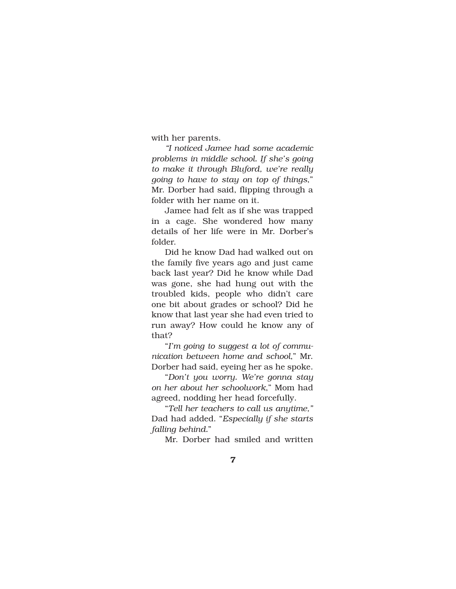with her parents.

*"I noticed Jamee had some academic problems in middle school. If she's going to make it through Bluford, we're really going to have to stay on top of things*," Mr. Dorber had said, flipping through a folder with her name on it.

Jamee had felt as if she was trapped in a cage. She wondered how many details of her life were in Mr. Dorber's folder.

Did he know Dad had walked out on the family five years ago and just came back last year? Did he know while Dad was gone, she had hung out with the troubled kids, people who didn't care one bit about grades or school? Did he know that last year she had even tried to run away? How could he know any of that?

"*I'm going to suggest a lot of communication between home and school*," Mr. Dorber had said, eyeing her as he spoke.

"*Don't you worry. We're gonna stay on her about her schoolwork*," Mom had agreed, nodding her head forcefully.

"*Tell her teachers to call us anytime,"* Dad had added. "*Especially if she starts falling behind.*"

Mr. Dorber had smiled and written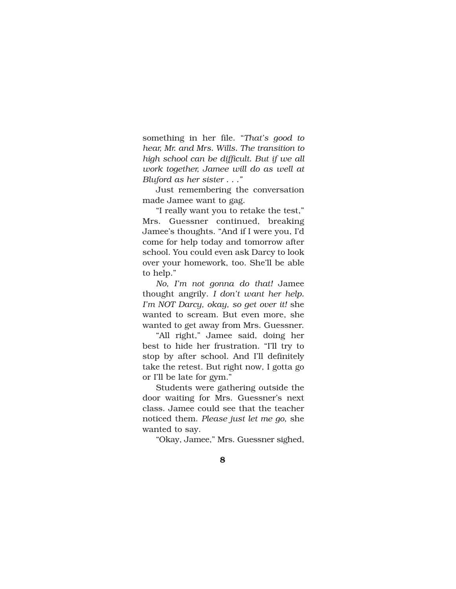something in her file. "*That's good to hear, Mr. and Mrs. Wills. The transition to high school can be difficult. But if we all work together, Jamee will do as well at Bluford as her sister . . ."*

Just remembering the conversation made Jamee want to gag.

"I really want you to retake the test," Mrs. Guessner continued, breaking Jamee's thoughts. "And if I were you, I'd come for help today and tomorrow after school. You could even ask Darcy to look over your homework, too. She'll be able to help."

*No, I'm not gonna do that!* Jamee thought angrily. *I don't want her help. I'm NOT Darcy, okay, so get over it!* she wanted to scream. But even more, she wanted to get away from Mrs. Guessner.

"All right," Jamee said, doing her best to hide her frustration. "I'll try to stop by after school. And I'll definitely take the retest. But right now, I gotta go or I'll be late for gym."

Students were gathering outside the door waiting for Mrs. Guessner's next class. Jamee could see that the teacher noticed them. *Please just let me go*, she wanted to say.

"Okay, Jamee," Mrs. Guessner sighed,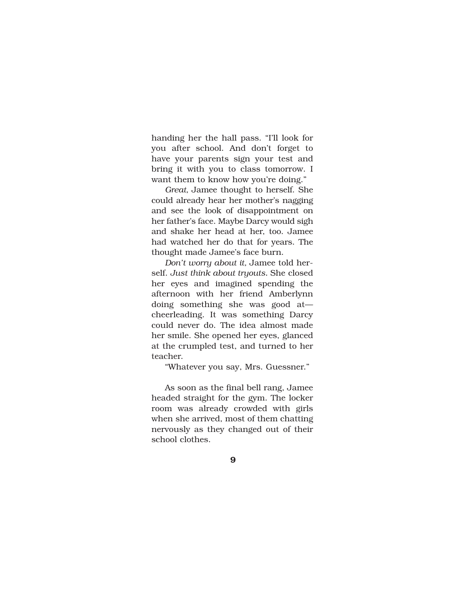handing her the hall pass. "I'll look for you after school. And don't forget to have your parents sign your test and bring it with you to class tomorrow. I want them to know how you're doing."

*Great,* Jamee thought to herself. She could already hear her mother's nagging and see the look of disappointment on her father's face. Maybe Darcy would sigh and shake her head at her, too. Jamee had watched her do that for years. The thought made Jamee's face burn.

*Don't worry about it,* Jamee told herself. *Just think about tryouts.* She closed her eyes and imagined spending the afternoon with her friend Amberlynn doing something she was good at cheerleading. It was something Darcy could never do. The idea almost made her smile. She opened her eyes, glanced at the crumpled test, and turned to her teacher.

"Whatever you say, Mrs. Guessner."

As soon as the final bell rang, Jamee headed straight for the gym. The locker room was already crowded with girls when she arrived, most of them chatting nervously as they changed out of their school clothes.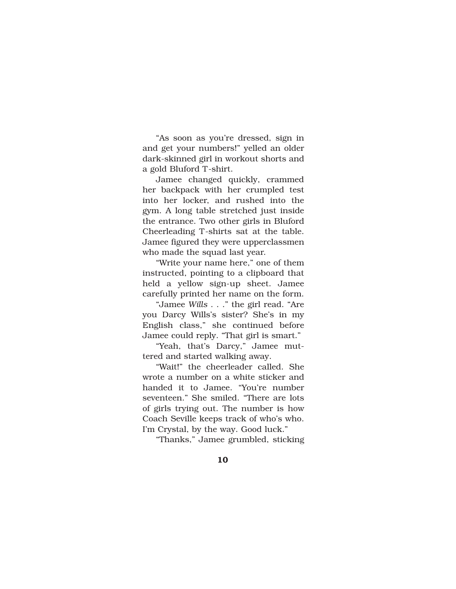"As soon as you're dressed, sign in and get your numbers!" yelled an older dark-skinned girl in workout shorts and a gold Bluford T-shirt.

Jamee changed quickly, crammed her backpack with her crumpled test into her locker, and rushed into the gym. A long table stretched just inside the entrance. Two other girls in Bluford Cheerleading T-shirts sat at the table. Jamee figured they were upperclassmen who made the squad last year.

"Write your name here," one of them instructed, pointing to a clipboard that held a yellow sign-up sheet. Jamee carefully printed her name on the form.

"Jamee *Wills* . . ." the girl read. "Are you Darcy Wills's sister? She's in my English class," she continued before Jamee could reply. "That girl is smart."

"Yeah, that's Darcy," Jamee muttered and started walking away.

"Wait!" the cheerleader called. She wrote a number on a white sticker and handed it to Jamee. "You're number seventeen." She smiled. "There are lots of girls trying out. The number is how Coach Seville keeps track of who's who. I'm Crystal, by the way. Good luck."

"Thanks," Jamee grumbled, sticking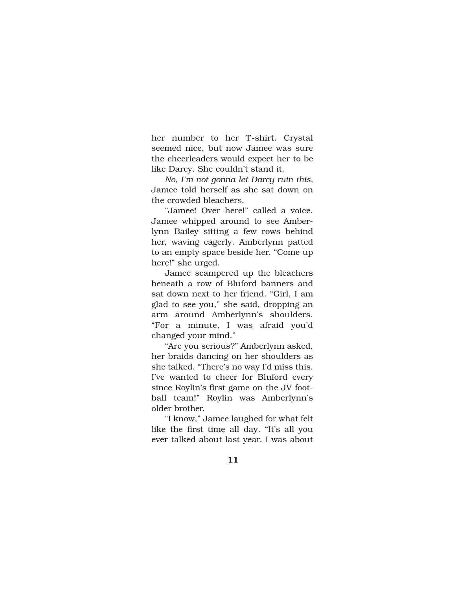her number to her T-shirt. Crystal seemed nice, but now Jamee was sure the cheerleaders would expect her to be like Darcy. She couldn't stand it.

*No, I'm not gonna let Darcy ruin this,* Jamee told herself as she sat down on the crowded bleachers.

"Jamee! Over here!" called a voice. Jamee whipped around to see Amberlynn Bailey sitting a few rows behind her, waving eagerly. Amberlynn patted to an empty space beside her. "Come up here!" she urged.

Jamee scampered up the bleachers beneath a row of Bluford banners and sat down next to her friend. "Girl, I am glad to see you," she said, dropping an arm around Amberlynn's shoulders. "For a minute, I was afraid you'd changed your mind."

"Are you serious?" Amberlynn asked, her braids dancing on her shoulders as she talked. "There's no way I'd miss this. I've wanted to cheer for Bluford every since Roylin's first game on the JV football team!" Roylin was Amberlynn's older brother.

"I know," Jamee laughed for what felt like the first time all day. "It's all you ever talked about last year. I was about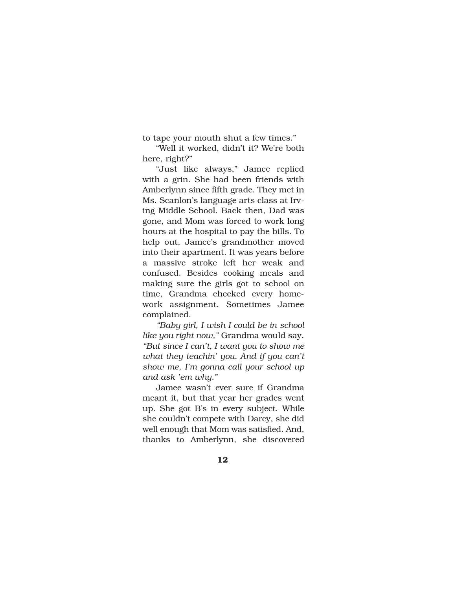to tape your mouth shut a few times."

"Well it worked, didn't it? We're both here, right?"

"Just like always," Jamee replied with a grin. She had been friends with Amberlynn since fifth grade. They met in Ms. Scanlon's language arts class at Irving Middle School. Back then, Dad was gone, and Mom was forced to work long hours at the hospital to pay the bills. To help out, Jamee's grandmother moved into their apartment. It was years before a massive stroke left her weak and confused. Besides cooking meals and making sure the girls got to school on time, Grandma checked every homework assignment. Sometimes Jamee complained.

*"Baby girl, I wish I could be in school like you right now,"* Grandma would say. *"But since I can't, I want you to show me what they teachin' you. And if you can't show me, I'm gonna call your school up and ask 'em why."* 

Jamee wasn't ever sure if Grandma meant it, but that year her grades went up. She got B's in every subject. While she couldn't compete with Darcy, she did well enough that Mom was satisfied. And, thanks to Amberlynn, she discovered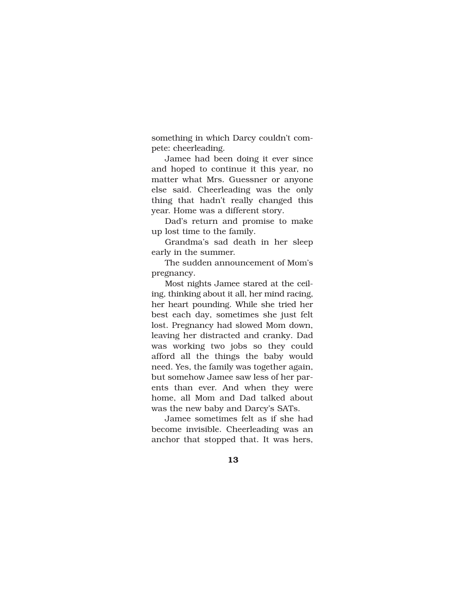something in which Darcy couldn't compete: cheerleading.

Jamee had been doing it ever since and hoped to continue it this year, no matter what Mrs. Guessner or anyone else said. Cheerleading was the only thing that hadn't really changed this year. Home was a different story.

Dad's return and promise to make up lost time to the family.

Grandma's sad death in her sleep early in the summer.

The sudden announcement of Mom's pregnancy.

Most nights Jamee stared at the ceiling, thinking about it all, her mind racing, her heart pounding. While she tried her best each day, sometimes she just felt lost. Pregnancy had slowed Mom down, leaving her distracted and cranky. Dad was working two jobs so they could afford all the things the baby would need. Yes, the family was together again, but somehow Jamee saw less of her parents than ever. And when they were home, all Mom and Dad talked about was the new baby and Darcy's SATs.

Jamee sometimes felt as if she had become invisible. Cheerleading was an anchor that stopped that. It was hers,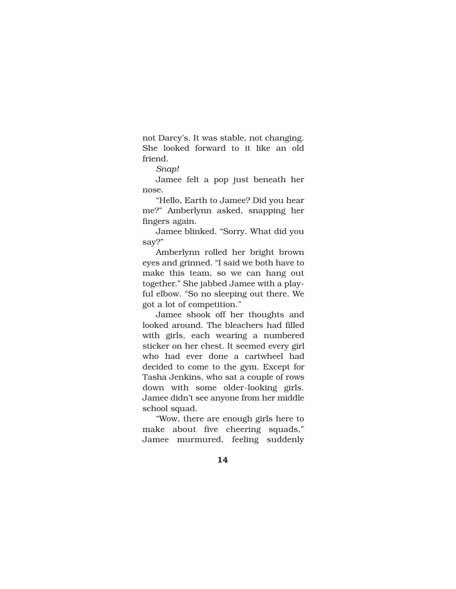not Darcy's. It was stable, not changing. She looked forward to it like an old friend.

*Snap!*

Jamee felt a pop just beneath her nose.

"Hello, Earth to Jamee? Did you hear me?" Amberlynn asked, snapping her fingers again.

Jamee blinked. "Sorry. What did you say?"

Amberlynn rolled her bright brown eyes and grinned. "I said we both have to make this team, so we can hang out together." She jabbed Jamee with a playful elbow. "So no sleeping out there. We got a lot of competition."

Jamee shook off her thoughts and looked around. The bleachers had filled with girls, each wearing a numbered sticker on her chest. It seemed every girl who had ever done a cartwheel had decided to come to the gym. Except for Tasha Jenkins, who sat a couple of rows down with some older-looking girls. Jamee didn't see anyone from her middle school squad.

"Wow, there are enough girls here to make about five cheering squads," Jamee murmured, feeling suddenly